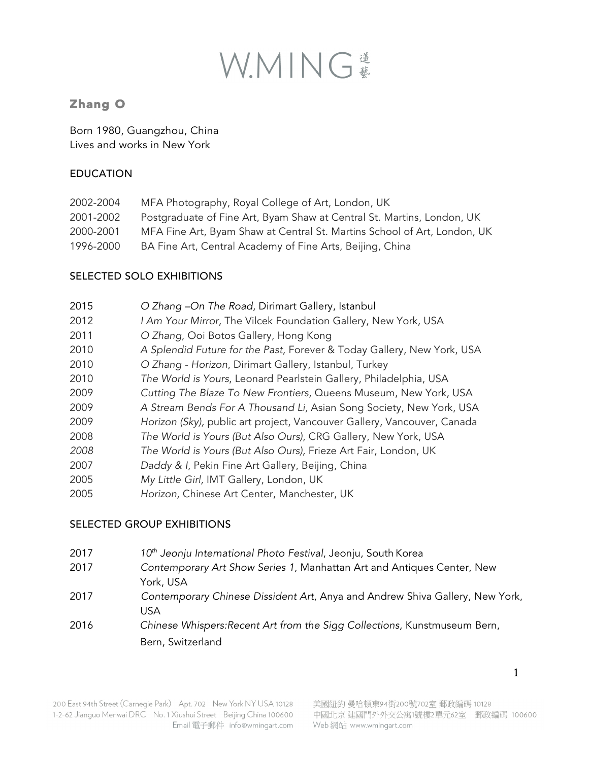# WMING

## Zhang O

Born 1980, Guangzhou, China Lives and works in New York

#### EDUCATION

| 2002-2004 | MFA Photography, Royal College of Art, London, UK                        |
|-----------|--------------------------------------------------------------------------|
| 2001-2002 | Postgraduate of Fine Art, Byam Shaw at Central St. Martins, London, UK   |
| 2000-2001 | MFA Fine Art, Byam Shaw at Central St. Martins School of Art, London, UK |
| 1996-2000 | BA Fine Art, Central Academy of Fine Arts, Beijing, China                |

### SELECTED SOLO EXHIBITIONS

| 2015 | O Zhang -On The Road, Dirimart Gallery, Istanbul                        |
|------|-------------------------------------------------------------------------|
| 2012 | I Am Your Mirror, The Vilcek Foundation Gallery, New York, USA          |
| 2011 | O Zhang, Ooi Botos Gallery, Hong Kong                                   |
| 2010 | A Splendid Future for the Past, Forever & Today Gallery, New York, USA  |
| 2010 | O Zhang - Horizon, Dirimart Gallery, Istanbul, Turkey                   |
| 2010 | The World is Yours, Leonard Pearlstein Gallery, Philadelphia, USA       |
| 2009 | Cutting The Blaze To New Frontiers, Queens Museum, New York, USA        |
| 2009 | A Stream Bends For A Thousand Li, Asian Song Society, New York, USA     |
| 2009 | Horizon (Sky), public art project, Vancouver Gallery, Vancouver, Canada |
| 2008 | The World is Yours (But Also Ours), CRG Gallery, New York, USA          |
| 2008 | The World is Yours (But Also Ours), Frieze Art Fair, London, UK         |
| 2007 | Daddy & I, Pekin Fine Art Gallery, Beijing, China                       |
| 2005 | My Little Girl, IMT Gallery, London, UK                                 |
| 2005 | Horizon, Chinese Art Center, Manchester, UK                             |

#### SELECTED GROUP EXHIBITIONS

- 2017 *10th Jeonju International Photo Festival*, Jeonju, South Korea
- 2017 *Contemporary Art Show Series 1*, Manhattan Art and Antiques Center, New York, USA
- 2017 *Contemporary Chinese Dissident Art*, Anya and Andrew Shiva Gallery, New York, USA
- 2016 *Chinese Whispers:Recent Art from the Sigg Collections,* Kunstmuseum Bern, Bern, Switzerland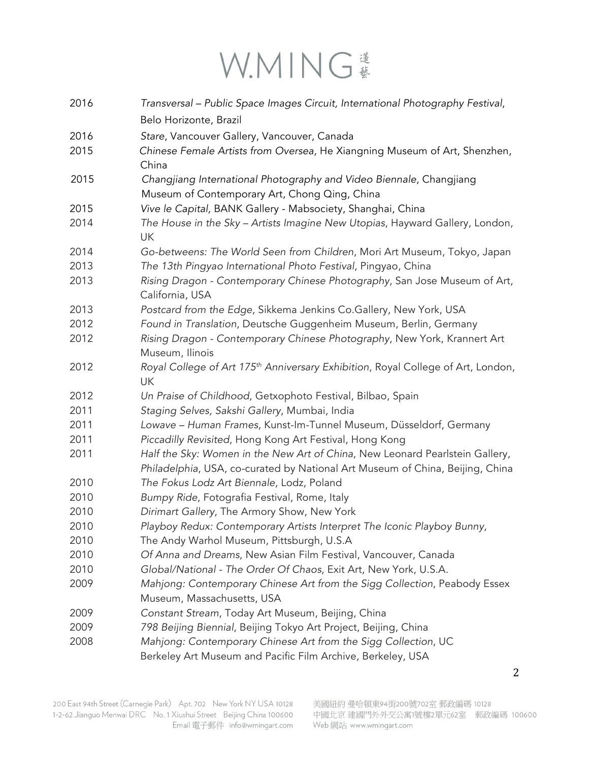# W.MING #

| 2016         | Transversal - Public Space Images Circuit, International Photography Festival,                                                                |
|--------------|-----------------------------------------------------------------------------------------------------------------------------------------------|
|              | Belo Horizonte, Brazil                                                                                                                        |
| 2016         | Stare, Vancouver Gallery, Vancouver, Canada                                                                                                   |
| 2015         | Chinese Female Artists from Oversea, He Xiangning Museum of Art, Shenzhen,                                                                    |
|              | China                                                                                                                                         |
| 2015         | Changjiang International Photography and Video Biennale, Changjiang                                                                           |
|              | Museum of Contemporary Art, Chong Qing, China                                                                                                 |
| 2015         | Vive le Capital, BANK Gallery - Mabsociety, Shanghai, China                                                                                   |
| 2014         | The House in the Sky - Artists Imagine New Utopias, Hayward Gallery, London,                                                                  |
|              | <b>UK</b>                                                                                                                                     |
| 2014         | Go-betweens: The World Seen from Children, Mori Art Museum, Tokyo, Japan                                                                      |
| 2013         | The 13th Pingyao International Photo Festival, Pingyao, China                                                                                 |
| 2013         | Rising Dragon - Contemporary Chinese Photography, San Jose Museum of Art,                                                                     |
|              | California, USA                                                                                                                               |
| 2013<br>2012 | Postcard from the Edge, Sikkema Jenkins Co.Gallery, New York, USA                                                                             |
| 2012         | Found in Translation, Deutsche Guggenheim Museum, Berlin, Germany<br>Rising Dragon - Contemporary Chinese Photography, New York, Krannert Art |
|              | Museum, Ilinois                                                                                                                               |
| 2012         | Royal College of Art 175 <sup>th</sup> Anniversary Exhibition, Royal College of Art, London,                                                  |
|              | UK                                                                                                                                            |
| 2012         | Un Praise of Childhood, Getxophoto Festival, Bilbao, Spain                                                                                    |
| 2011         | Staging Selves, Sakshi Gallery, Mumbai, India                                                                                                 |
| 2011         | Lowave - Human Frames, Kunst-Im-Tunnel Museum, Düsseldorf, Germany                                                                            |
| 2011         | Piccadilly Revisited, Hong Kong Art Festival, Hong Kong                                                                                       |
| 2011         | Half the Sky: Women in the New Art of China, New Leonard Pearlstein Gallery,                                                                  |
|              | Philadelphia, USA, co-curated by National Art Museum of China, Beijing, China                                                                 |
| 2010         | The Fokus Lodz Art Biennale, Lodz, Poland                                                                                                     |
| 2010         | Bumpy Ride, Fotografia Festival, Rome, Italy                                                                                                  |
| 2010         | Dirimart Gallery, The Armory Show, New York                                                                                                   |
| 2010         | Playboy Redux: Contemporary Artists Interpret The Iconic Playboy Bunny,                                                                       |
| 2010         | The Andy Warhol Museum, Pittsburgh, U.S.A                                                                                                     |
| 2010         | Of Anna and Dreams, New Asian Film Festival, Vancouver, Canada                                                                                |
| 2010         | Global/National - The Order Of Chaos, Exit Art, New York, U.S.A.                                                                              |
| 2009         | Mahjong: Contemporary Chinese Art from the Sigg Collection, Peabody Essex                                                                     |
|              | Museum, Massachusetts, USA                                                                                                                    |
| 2009         | Constant Stream, Today Art Museum, Beijing, China                                                                                             |
| 2009         | 798 Beijing Biennial, Beijing Tokyo Art Project, Beijing, China                                                                               |
| 2008         | Mahjong: Contemporary Chinese Art from the Sigg Collection, UC                                                                                |
|              | Berkeley Art Museum and Pacific Film Archive, Berkeley, USA                                                                                   |

 $\overline{2}$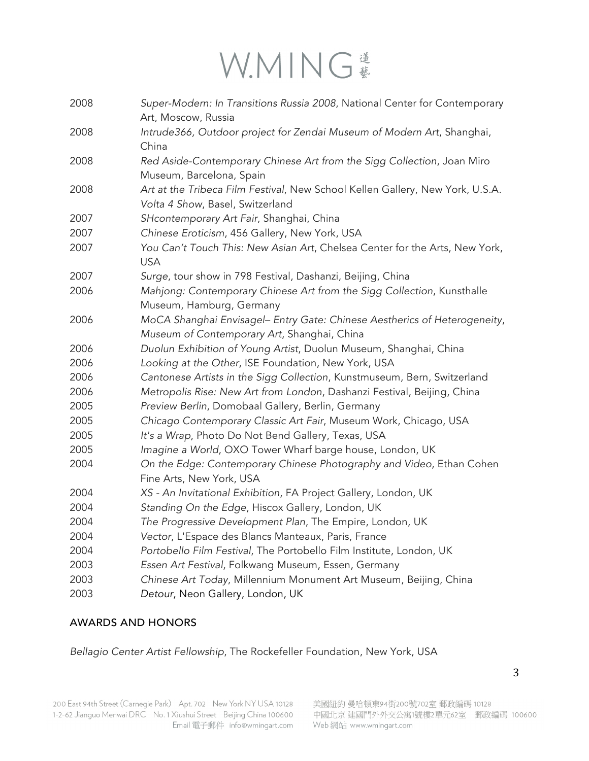# W.MING \*

| 2008 | Super-Modern: In Transitions Russia 2008, National Center for Contemporary<br>Art, Moscow, Russia                        |
|------|--------------------------------------------------------------------------------------------------------------------------|
| 2008 | Intrude366, Outdoor project for Zendai Museum of Modern Art, Shanghai,                                                   |
| 2008 | China<br>Red Aside-Contemporary Chinese Art from the Sigg Collection, Joan Miro<br>Museum, Barcelona, Spain              |
| 2008 | Art at the Tribeca Film Festival, New School Kellen Gallery, New York, U.S.A.<br>Volta 4 Show, Basel, Switzerland        |
| 2007 | SHcontemporary Art Fair, Shanghai, China                                                                                 |
| 2007 | Chinese Eroticism, 456 Gallery, New York, USA                                                                            |
| 2007 | You Can't Touch This: New Asian Art, Chelsea Center for the Arts, New York,<br><b>USA</b>                                |
| 2007 | Surge, tour show in 798 Festival, Dashanzi, Beijing, China                                                               |
| 2006 | Mahjong: Contemporary Chinese Art from the Sigg Collection, Kunsthalle<br>Museum, Hamburg, Germany                       |
| 2006 | MoCA Shanghai Envisagel- Entry Gate: Chinese Aestherics of Heterogeneity,<br>Museum of Contemporary Art, Shanghai, China |
| 2006 | Duolun Exhibition of Young Artist, Duolun Museum, Shanghai, China                                                        |
| 2006 | Looking at the Other, ISE Foundation, New York, USA                                                                      |
| 2006 | Cantonese Artists in the Sigg Collection, Kunstmuseum, Bern, Switzerland                                                 |
| 2006 | Metropolis Rise: New Art from London, Dashanzi Festival, Beijing, China                                                  |
| 2005 | Preview Berlin, Domobaal Gallery, Berlin, Germany                                                                        |
| 2005 | Chicago Contemporary Classic Art Fair, Museum Work, Chicago, USA                                                         |
| 2005 | It's a Wrap, Photo Do Not Bend Gallery, Texas, USA                                                                       |
| 2005 | Imagine a World, OXO Tower Wharf barge house, London, UK                                                                 |
| 2004 | On the Edge: Contemporary Chinese Photography and Video, Ethan Cohen<br>Fine Arts, New York, USA                         |
| 2004 | XS - An Invitational Exhibition, FA Project Gallery, London, UK                                                          |
| 2004 | Standing On the Edge, Hiscox Gallery, London, UK                                                                         |
| 2004 | The Progressive Development Plan, The Empire, London, UK                                                                 |
| 2004 | Vector, L'Espace des Blancs Manteaux, Paris, France                                                                      |
| 2004 | Portobello Film Festival, The Portobello Film Institute, London, UK                                                      |
| 2003 | Essen Art Festival, Folkwang Museum, Essen, Germany                                                                      |
| 2003 | Chinese Art Today, Millennium Monument Art Museum, Beijing, China                                                        |
| 2003 | Detour, Neon Gallery, London, UK                                                                                         |

#### AWARDS AND HONORS

*Bellagio Center Artist Fellowship*, The Rockefeller Foundation, New York, USA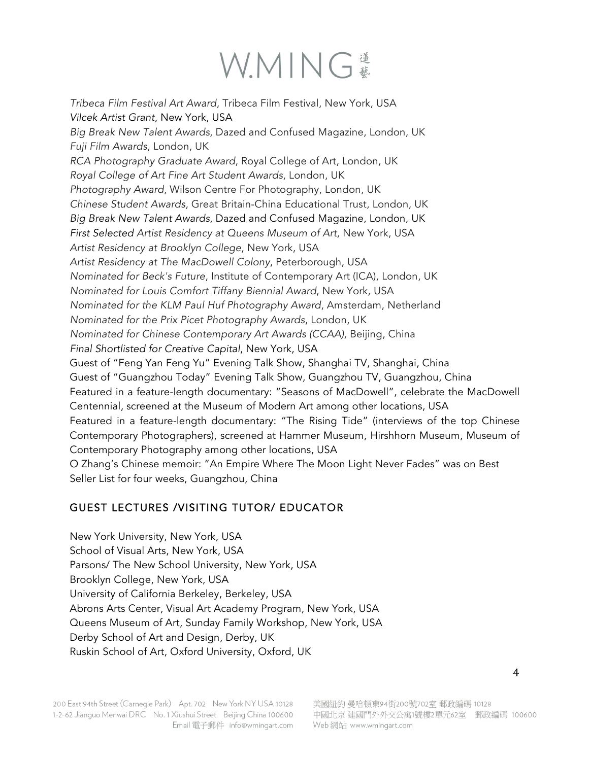# WMING

*Tribeca Film Festival Art Award*, Tribeca Film Festival, New York, USA *Vilcek Artist Grant*, New York, USA *Big Break New Talent Awards*, Dazed and Confused Magazine, London, UK *Fuji Film Awards*, London, UK *RCA Photography Graduate Award*, Royal College of Art, London, UK *Royal College of Art Fine Art Student Awards*, London, UK *Photography Award*, Wilson Centre For Photography, London, UK *Chinese Student Awards*, Great Britain-China Educational Trust, London, UK *Big Break New Talent Awards*, Dazed and Confused Magazine, London, UK *First Selected Artist Residency at Queens Museum of Art*, New York, USA *Artist Residency at Brooklyn College*, New York, USA *Artist Residency at The MacDowell Colony*, Peterborough, USA *Nominated for Beck's Future*, Institute of Contemporary Art (ICA), London, UK *Nominated for Louis Comfort Tiffany Biennial Award*, New York, USA *Nominated for the KLM Paul Huf Photography Award*, Amsterdam, Netherland *Nominated for the Prix Picet Photography Awards*, London, UK *Nominated for Chinese Contemporary Art Awards (CCAA)*, Beijing, China *Final Shortlisted for Creative Capital*, New York, USA Guest of "Feng Yan Feng Yu" Evening Talk Show, Shanghai TV, Shanghai, China Guest of "Guangzhou Today" Evening Talk Show, Guangzhou TV, Guangzhou, China Featured in a feature-length documentary: "Seasons of MacDowell", celebrate the MacDowell Centennial, screened at the Museum of Modern Art among other locations, USA Featured in a feature-length documentary: "The Rising Tide" (interviews of the top Chinese Contemporary Photographers), screened at Hammer Museum, Hirshhorn Museum, Museum of Contemporary Photography among other locations, USA O Zhang's Chinese memoir: "An Empire Where The Moon Light Never Fades" was on Best Seller List for four weeks, Guangzhou, China

## GUEST LECTURES /VISITING TUTOR/ EDUCATOR

New York University, New York, USA School of Visual Arts, New York, USA Parsons/ The New School University, New York, USA Brooklyn College, New York, USA University of California Berkeley, Berkeley, USA Abrons Arts Center, Visual Art Academy Program, New York, USA Queens Museum of Art, Sunday Family Workshop, New York, USA Derby School of Art and Design, Derby, UK Ruskin School of Art, Oxford University, Oxford, UK